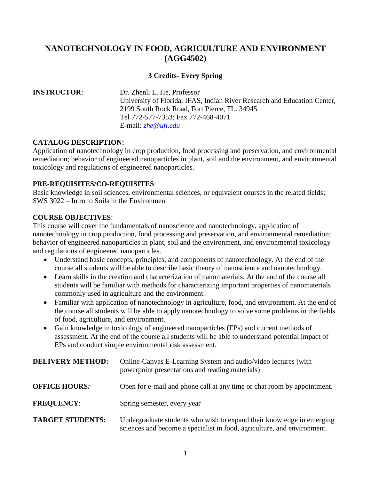# **NANOTECHNOLOGY IN FOOD, AGRICULTURE AND ENVIRONMENT (AGG4502)**

### **3 Credits- Every Spring**

# **INSTRUCTOR**: Dr. Zhenli L. He, Professor University of Florida, IFAS, Indian River Research and Education Center, 2199 South Rock Road, Fort Pierce, FL. 34945 Tel 772-577-7353; Fax 772-468-4071 E-mail: *[zhe@ufl.edu](mailto:zhe@ufl.edu)*

#### **CATALOG DESCRIPTION:**

Application of nanotechnology in crop production, food processing and preservation, and environmental remediation; behavior of engineered nanoparticles in plant, soil and the environment, and environmental toxicology and regulations of engineered nanoparticles.

#### **PRE-REQUISITES/CO-REQUISITES**:

Basic knowledge in soil sciences, environmental sciences, or equivalent courses in the related fields; SWS 3022 – Intro to Soils in the Environment

#### **COURSE OBJECTIVES**:

This course will cover the fundamentals of nanoscience and nanotechnology, application of nanotechnology in crop production, food processing and preservation, and environmental remediation; behavior of engineered nanoparticles in plant, soil and the environment, and environmental toxicology and regulations of engineered nanoparticles.

- Understand basic concepts, principles, and components of nanotechnology. At the end of the course all students will be able to describe basic theory of nanoscience and nanotechnology.
- Learn skills in the creation and characterization of nanomaterials. At the end of the course all students will be familiar with methods for characterizing important properties of nanomaterials commonly used in agriculture and the environment.
- Familiar with application of nanotechnology in agriculture, food, and environment. At the end of the course all students will be able to apply nanotechnology to solve some problems in the fields of food, agriculture, and environment.
- Gain knowledge in toxicology of engineered nanoparticles (EPs) and current methods of assessment. At the end of the course all students will be able to understand potential impact of EPs and conduct simple environmental risk assessment.

| <b>DELIVERY METHOD:</b> | Online-Canvas E-Learning System and audio/video lectures (with<br>powerpoint presentations and reading materials)                                |  |
|-------------------------|--------------------------------------------------------------------------------------------------------------------------------------------------|--|
| <b>OFFICE HOURS:</b>    | Open for e-mail and phone call at any time or chat room by appointment.                                                                          |  |
| <b>FREQUENCY:</b>       | Spring semester, every year                                                                                                                      |  |
| <b>TARGET STUDENTS:</b> | Undergraduate students who wish to expand their knowledge in emerging<br>sciences and become a specialist in food, agriculture, and environment. |  |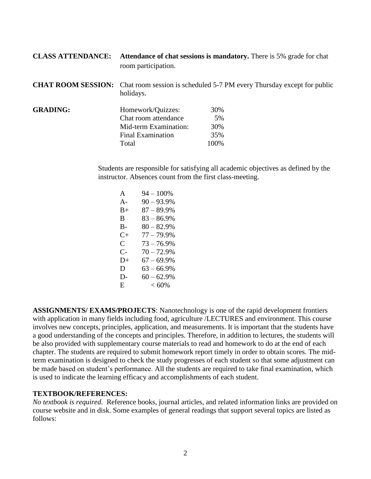| <b>CLASS ATTENDANCE:</b> | room participation.                                                                                           | Attendance of chat sessions is mandatory. There is 5% grade for chat |  |
|--------------------------|---------------------------------------------------------------------------------------------------------------|----------------------------------------------------------------------|--|
|                          | <b>CHAT ROOM SESSION:</b> Chat room session is scheduled 5-7 PM every Thursday except for public<br>holidays. |                                                                      |  |
| <b>GRADING:</b>          | Homework/Quizzes:                                                                                             | 30%                                                                  |  |
|                          | Chat room attendance                                                                                          | 5%                                                                   |  |
|                          | Mid-term Examination:                                                                                         | 30%                                                                  |  |
|                          | <b>Final Examination</b>                                                                                      | 35%                                                                  |  |
|                          | Total                                                                                                         | 100%                                                                 |  |

Students are responsible for satisfying all academic objectives as defined by the instructor. Absences count from the first class-meeting.

| A         | $94 - 100\%$  |
|-----------|---------------|
| A-        | $90 - 93.9\%$ |
| B+        | $87 - 89.9\%$ |
| В         | $83 - 86.9\%$ |
| B-        | $80 - 82.9%$  |
| $C_{\pm}$ | $77 - 79.9%$  |
| C.        | $73 - 76.9%$  |
| C-        | $70 - 72.9%$  |
| D+        | $67 - 69.9%$  |
| D         | $63 - 66.9\%$ |
| D-        | $60 - 62.9%$  |
| E.        | $<60\%$       |

**ASSIGNMENTS/ EXAMS/PROJECTS**: Nanotechnology is one of the rapid development frontiers with application in many fields including food, agriculture /LECTURES and environment. This course involves new concepts, principles, application, and measurements. It is important that the students have a good understanding of the concepts and principles. Therefore, in addition to lectures, the students will be also provided with supplementary course materials to read and homework to do at the end of each chapter. The students are required to submit homework report timely in order to obtain scores. The midterm examination is designed to check the study progresses of each student so that some adjustment can be made based on student's performance. All the students are required to take final examination, which is used to indicate the learning efficacy and accomplishments of each student.

#### **TEXTBOOK/REFERENCES:**

*No textbook is required.* Reference books, journal articles, and related information links are provided on course website and in disk. Some examples of general readings that support several topics are listed as follows: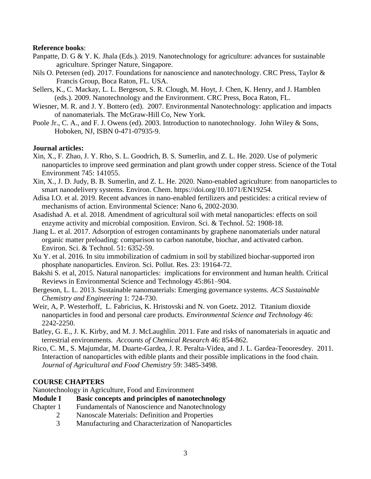#### **Reference books**:

- Panpatte, D. G & Y. K. Jhala (Eds.). 2019. Nanotechnology for agriculture: advances for sustainable agriculture. Springer Nature, Singapore.
- Nils O. Petersen (ed). 2017. Foundations for nanoscience and nanotechnology. CRC Press, Taylor & Francis Group, Boca Raton, FL. USA.
- Sellers, K., C. Mackay, L. L. Bergeson, S. R. Clough, M. Hoyt, J. Chen, K. Henry, and J. Hamblen (eds.). 2009. Nanotechnology and the Environment. CRC Press, Boca Raton, FL.
- Wiesner, M. R. and J. Y. Bottero (ed). 2007. Environmental Nanotechnology: application and impacts of nanomaterials. The McGraw-Hill Co, New York.
- Poole Jr., C. A., and F. J. Owens (ed). 2003. Introduction to nanotechnology. John Wiley & Sons, Hoboken, NJ, ISBN 0-471-07935-9.

#### **Journal articles:**

- Xin, X., F. Zhao, J. Y. Rho, S. L. Goodrich, B. S. Sumerlin, and Z. L. He. 2020. Use of polymeric nanoparticles to improve seed germination and plant growth under copper stress. Science of the Total Environment 745: 141055.
- Xin, X., J. D. Judy, B. B. Sumerlin, and Z. L. He. 2020. Nano-enabled agriculture: from nanoparticles to smart nanodelivery systems. Environ. Chem. https://doi.org/10.1071/EN19254.
- Adisa I.O. et al. 2019. Recent advances in nano-enabled fertilizers and pesticides: a critical review of mechanisms of action. Environmental Science: Nano 6, 2002-2030.
- Asadishad A. et al. 2018. Amendment of agricultural soil with metal nanoparticles: effects on soil enzyme activity and microbial composition. Environ. Sci. & Technol. 52: 1908-18.
- Jiang L. et al. 2017. Adsorption of estrogen contaminants by graphene nanomaterials under natural organic matter preloading: comparison to carbon nanotube, biochar, and activated carbon. Environ. Sci. & Technol. 51: 6352-59.
- Xu Y. et al. 2016. In situ immobilization of cadmium in soil by stabilized biochar-supported iron phosphate nanoparticles. Environ. Sci. Pollut. Res. 23: 19164-72.
- Bakshi S. et al, 2015. Natural nanoparticles: implications for environment and human health. Critical Reviews in Environmental Science and Technology 45:861–904.
- Bergeson, L. L. 2013. Sustainable nanomaterials: Emerging governance systems. *ACS Sustainable Chemistry and Engineering* 1: 724-730.
- Weir, A, P. Westerhoff, L. Fabricius, K. Hristovski and N. von Goetz. 2012. Titanium dioxide nanoparticles in food and personal care products. *Environmental Science and Technology* 46: 2242-2250.
- Batley, G. E., J. K. Kirby, and M. J. McLaughlin. 2011. Fate and risks of nanomaterials in aquatic and terrestrial environments. *Accounts of Chemical Research* 46: 854-862.
- Rico, C. M., S. Majumdar, M. Duarte-Gardea, J. R. Peralta-Videa, and J. L. Gardea-Teooresdey. 2011. Interaction of nanoparticles with edible plants and their possible implications in the food chain. *Journal of Agricultural and Food Chemistry* 59: 3485-3498.

#### **COURSE CHAPTERS**

Nanotechnology in Agriculture, Food and Environment

- **Module I Basic concepts and principles of nanotechnology**
- Chapter 1 Fundamentals of Nanoscience and Nanotechnology
	- 2 Nanoscale Materials: Definition and Properties
		- 3 Manufacturing and Characterization of Nanoparticles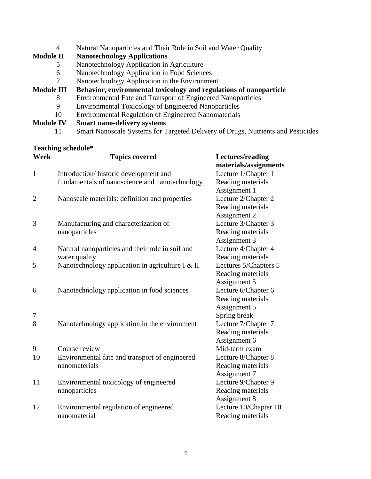- 4 Natural Nanoparticles and Their Role in Soil and Water Quality
- **Module II Nanotechnology Applications**
	- 5 Nanotechnology Application in Agriculture
	- 6 Nanotechnology Application in Food Sciences
	- 7 Nanotechnology Application in the Environment

# **Module III Behavior, environmental toxicology and regulations of nanoparticle**

- 8 Environmental Fate and Transport of Engineered Nanoparticles<br>9 Environmental Toxicology of Engineered Nanoparticles
- 9 Environmental Toxicology of Engineered Nanoparticles
- 10 Environmental Regulation of Engineered Nanomaterials

## **Module IV Smart nano-delivery systems**

11 Smart Nanoscale Systems for Targeted Delivery of Drugs, Nutrients and Pesticides

#### **Teaching schedule\***

|                | rtatinig sthtuuit                                |                                           |
|----------------|--------------------------------------------------|-------------------------------------------|
| Week           | <b>Topics covered</b>                            | Lectures/reading<br>materials/assignments |
| $\mathbf{1}$   | Introduction/historic development and            | Lecture 1/Chapter 1                       |
|                | fundamentals of nanoscience and nanotechnology   | Reading materials                         |
|                |                                                  | Assignment 1                              |
| $\overline{2}$ | Nanoscale materials: definition and properties   | Lecture 2/Chapter 2                       |
|                |                                                  | Reading materials                         |
|                |                                                  | Assignment 2                              |
| 3              | Manufacturing and characterization of            | Lecture 3/Chapter 3                       |
|                | nanoparticles                                    | Reading materials                         |
|                |                                                  | Assignment 3                              |
| 4              | Natural nanoparticles and their role in soil and | Lecture 4/Chapter 4                       |
|                | water quality                                    | Reading materials                         |
| 5              | Nanotechnology application in agriculture I & II | Lectures 5/Chapters 5                     |
|                |                                                  | Reading materials                         |
|                |                                                  | Assignment 5                              |
| 6              | Nanotechnology application in food sciences      | Lecture 6/Chapter 6                       |
|                |                                                  | Reading materials                         |
|                |                                                  | Assignment 5                              |
| 7              |                                                  | Spring break                              |
| 8              | Nanotechnology application in the environment    | Lecture 7/Chapter 7                       |
|                |                                                  | Reading materials                         |
|                |                                                  | Assignment 6                              |
| 9              | Course review                                    | Mid-term exam                             |
| 10             | Environmental fate and transport of engineered   | Lecture 8/Chapter 8                       |
|                | nanomaterials                                    | Reading materials                         |
|                |                                                  | Assignment 7                              |
| 11             | Environmental toxicology of engineered           | Lecture 9/Chapter 9                       |
|                | nanoparticles                                    | Reading materials                         |
|                |                                                  | Assignment 8                              |
| 12             | Environmental regulation of engineered           | Lecture 10/Chapter 10                     |
|                | nanomaterial                                     | Reading materials                         |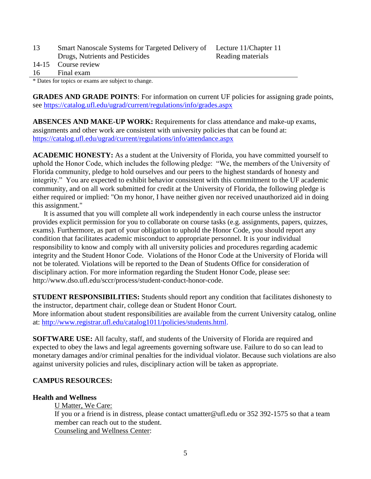| 13  | Smart Nanoscale Systems for Targeted Delivery of Lecture 11/Chapter 11 |                   |
|-----|------------------------------------------------------------------------|-------------------|
|     | Drugs, Nutrients and Pesticides                                        | Reading materials |
|     | 14-15 Course review                                                    |                   |
| -16 | Final exam                                                             |                   |
|     |                                                                        |                   |

\* Dates for topics or exams are subject to change.

**GRADES AND GRADE POINTS**: For information on current UF policies for assigning grade points, see<https://catalog.ufl.edu/ugrad/current/regulations/info/grades.aspx>

**ABSENCES AND MAKE-UP WORK:** Requirements for class attendance and make-up exams, assignments and other work are consistent with university policies that can be found at: <https://catalog.ufl.edu/ugrad/current/regulations/info/attendance.aspx>

**ACADEMIC HONESTY:** As a student at the University of Florida, you have committed yourself to uphold the Honor Code, which includes the following pledge: "We, the members of the University of Florida community, pledge to hold ourselves and our peers to the highest standards of honesty and integrity." You are expected to exhibit behavior consistent with this commitment to the UF academic community, and on all work submitted for credit at the University of Florida, the following pledge is either required or implied: "On my honor, I have neither given nor received unauthorized aid in doing this assignment."

 It is assumed that you will complete all work independently in each course unless the instructor provides explicit permission for you to collaborate on course tasks (e.g. assignments, papers, quizzes, exams). Furthermore, as part of your obligation to uphold the Honor Code, you should report any condition that facilitates academic misconduct to appropriate personnel. It is your individual responsibility to know and comply with all university policies and procedures regarding academic integrity and the Student Honor Code. Violations of the Honor Code at the University of Florida will not be tolerated. Violations will be reported to the Dean of Students Office for consideration of disciplinary action. For more information regarding the Student Honor Code, please see: http://www.dso.ufl.edu/sccr/process/student-conduct-honor-code.

**STUDENT RESPONSIBILITIES:** Students should report any condition that facilitates dishonesty to the instructor, department chair, college dean or Student Honor Court. More information about student responsibilities are available from the current University catalog, online at: [http://www.registrar.ufl.edu/catalog1011/policies/students.html.](http://www.registrar.ufl.edu/catalog1011/policies/students.html)

**SOFTWARE USE:** All faculty, staff, and students of the University of Florida are required and expected to obey the laws and legal agreements governing software use. Failure to do so can lead to monetary damages and/or criminal penalties for the individual violator. Because such violations are also against university policies and rules, disciplinary action will be taken as appropriate.

#### **CAMPUS RESOURCES:**

#### **Health and Wellness**

U Matter, We Care: If you or a friend is in distress, please contact umatter@ufl.edu or 352 392-1575 so that a team member can reach out to the student. Counseling and Wellness Center: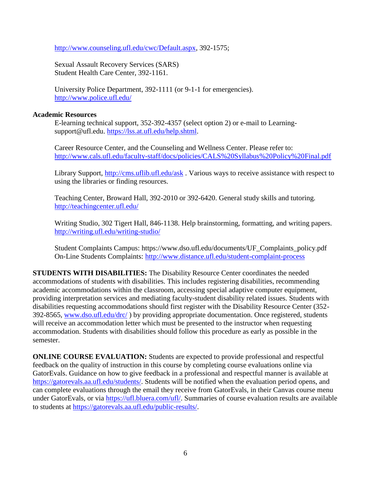[http://www.counseling.ufl.edu/cwc/Default.aspx,](http://www.counseling.ufl.edu/cwc/Default.aspx) 392-1575;

Sexual Assault Recovery Services (SARS) Student Health Care Center, 392-1161.

University Police Department, 392-1111 (or 9-1-1 for emergencies). <http://www.police.ufl.edu/>

#### **Academic Resources**

E-learning technical support, 352-392-4357 (select option 2) or e-mail to Learningsupport@ufl.edu. [https://lss.at.ufl.edu/help.shtml.](https://lss.at.ufl.edu/help.shtml)

Career Resource Center, and the Counseling and Wellness Center. Please refer to: <http://www.cals.ufl.edu/faculty-staff/docs/policies/CALS%20Syllabus%20Policy%20Final.pdf>

Library Support,<http://cms.uflib.ufl.edu/ask>. Various ways to receive assistance with respect to using the libraries or finding resources.

Teaching Center, Broward Hall, 392-2010 or 392-6420. General study skills and tutoring. <http://teachingcenter.ufl.edu/>

Writing Studio, 302 Tigert Hall, 846-1138. Help brainstorming, formatting, and writing papers. <http://writing.ufl.edu/writing-studio/>

Student Complaints Campus: https://www.dso.ufl.edu/documents/UF\_Complaints\_policy.pdf On-Line Students Complaints:<http://www.distance.ufl.edu/student-complaint-process>

**STUDENTS WITH DISABILITIES:** The Disability Resource Center coordinates the needed accommodations of students with disabilities. This includes registering disabilities, recommending academic accommodations within the classroom, accessing special adaptive computer equipment, providing interpretation services and mediating faculty-student disability related issues. Students with disabilities requesting accommodations should first register with the Disability Resource Center (352- 392-8565, [www.dso.ufl.edu/drc/](http://www.dso.ufl.edu/drc/) ) by providing appropriate documentation. Once registered, students will receive an accommodation letter which must be presented to the instructor when requesting accommodation. Students with disabilities should follow this procedure as early as possible in the semester.

**ONLINE COURSE EVALUATION:** Students are expected to provide professional and respectful feedback on the quality of instruction in this course by completing course evaluations online via GatorEvals. Guidance on how to give feedback in a professional and respectful manner is available at [https://gatorevals.aa.ufl.edu/students/.](https://gatorevals.aa.ufl.edu/students/) Students will be notified when the evaluation period opens, and can complete evaluations through the email they receive from GatorEvals, in their Canvas course menu under GatorEvals, or via [https://ufl.bluera.com/ufl/.](https://ufl.bluera.com/ufl/) Summaries of course evaluation results are available to students at [https://gatorevals.aa.ufl.edu/public-results/.](https://gatorevals.aa.ufl.edu/public-results/)